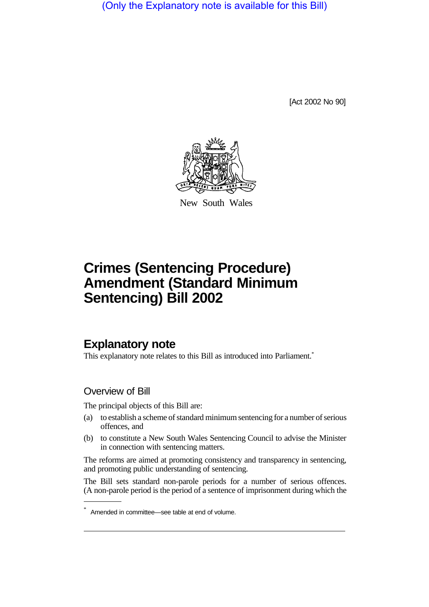(Only the Explanatory note is available for this Bill)

[Act 2002 No 90]



New South Wales

# **Crimes (Sentencing Procedure) Amendment (Standard Minimum Sentencing) Bill 2002**

# **Explanatory note**

This explanatory note relates to this Bill as introduced into Parliament.\*

## Overview of Bill

The principal objects of this Bill are:

- (a) to establish a scheme of standard minimum sentencing for a number of serious offences, and
- (b) to constitute a New South Wales Sentencing Council to advise the Minister in connection with sentencing matters.

The reforms are aimed at promoting consistency and transparency in sentencing, and promoting public understanding of sentencing.

The Bill sets standard non-parole periods for a number of serious offences. (A non-parole period is the period of a sentence of imprisonment during which the

Amended in committee—see table at end of volume.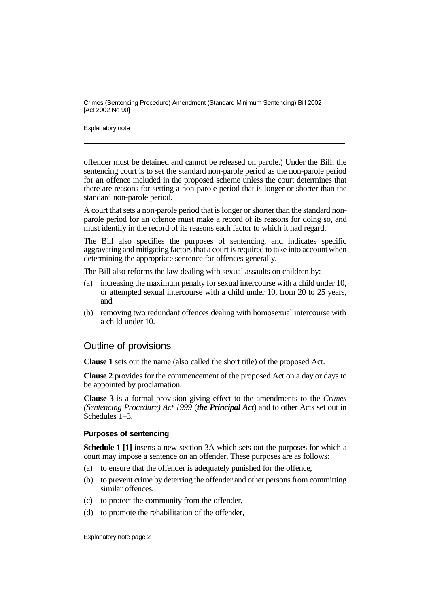Explanatory note

offender must be detained and cannot be released on parole.) Under the Bill, the sentencing court is to set the standard non-parole period as the non-parole period for an offence included in the proposed scheme unless the court determines that there are reasons for setting a non-parole period that is longer or shorter than the standard non-parole period.

A court that sets a non-parole period that is longer or shorter than the standard nonparole period for an offence must make a record of its reasons for doing so, and must identify in the record of its reasons each factor to which it had regard.

The Bill also specifies the purposes of sentencing, and indicates specific aggravating and mitigating factors that a court is required to take into account when determining the appropriate sentence for offences generally.

The Bill also reforms the law dealing with sexual assaults on children by:

- (a) increasing the maximum penalty for sexual intercourse with a child under 10, or attempted sexual intercourse with a child under 10, from 20 to 25 years, and
- (b) removing two redundant offences dealing with homosexual intercourse with a child under 10.

## Outline of provisions

**Clause 1** sets out the name (also called the short title) of the proposed Act.

**Clause 2** provides for the commencement of the proposed Act on a day or days to be appointed by proclamation.

**Clause 3** is a formal provision giving effect to the amendments to the *Crimes (Sentencing Procedure) Act 1999* (*the Principal Act*) and to other Acts set out in Schedules 1–3.

#### **Purposes of sentencing**

**Schedule 1 [1]** inserts a new section 3A which sets out the purposes for which a court may impose a sentence on an offender. These purposes are as follows:

- (a) to ensure that the offender is adequately punished for the offence,
- (b) to prevent crime by deterring the offender and other persons from committing similar offences.
- (c) to protect the community from the offender,
- (d) to promote the rehabilitation of the offender,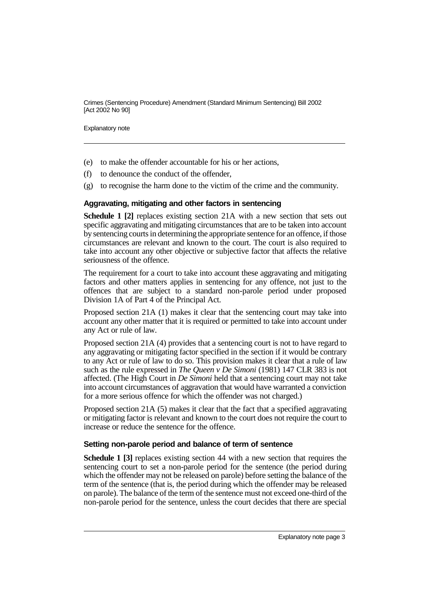Explanatory note

- (e) to make the offender accountable for his or her actions,
- (f) to denounce the conduct of the offender,
- (g) to recognise the harm done to the victim of the crime and the community.

#### **Aggravating, mitigating and other factors in sentencing**

**Schedule 1 [2]** replaces existing section 21A with a new section that sets out specific aggravating and mitigating circumstances that are to be taken into account by sentencing courts in determining the appropriate sentence for an offence, if those circumstances are relevant and known to the court. The court is also required to take into account any other objective or subjective factor that affects the relative seriousness of the offence.

The requirement for a court to take into account these aggravating and mitigating factors and other matters applies in sentencing for any offence, not just to the offences that are subject to a standard non-parole period under proposed Division 1A of Part 4 of the Principal Act.

Proposed section 21A (1) makes it clear that the sentencing court may take into account any other matter that it is required or permitted to take into account under any Act or rule of law.

Proposed section 21A (4) provides that a sentencing court is not to have regard to any aggravating or mitigating factor specified in the section if it would be contrary to any Act or rule of law to do so. This provision makes it clear that a rule of law such as the rule expressed in *The Queen v De Simoni* (1981) 147 CLR 383 is not affected. (The High Court in *De Simoni* held that a sentencing court may not take into account circumstances of aggravation that would have warranted a conviction for a more serious offence for which the offender was not charged.)

Proposed section 21A (5) makes it clear that the fact that a specified aggravating or mitigating factor is relevant and known to the court does not require the court to increase or reduce the sentence for the offence.

#### **Setting non-parole period and balance of term of sentence**

**Schedule 1 [3]** replaces existing section 44 with a new section that requires the sentencing court to set a non-parole period for the sentence (the period during which the offender may not be released on parole) before setting the balance of the term of the sentence (that is, the period during which the offender may be released on parole). The balance of the term of the sentence must not exceed one-third of the non-parole period for the sentence, unless the court decides that there are special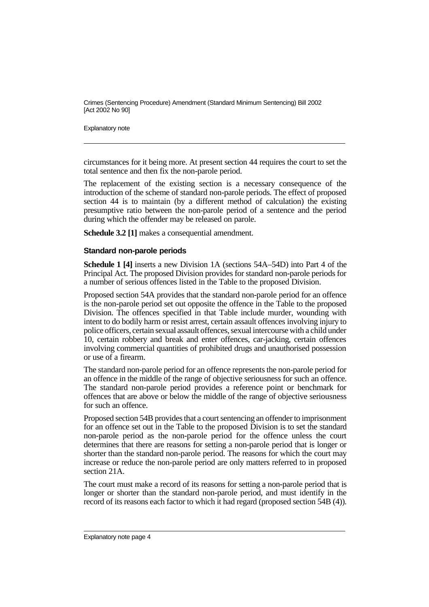Explanatory note

circumstances for it being more. At present section 44 requires the court to set the total sentence and then fix the non-parole period.

The replacement of the existing section is a necessary consequence of the introduction of the scheme of standard non-parole periods. The effect of proposed section 44 is to maintain (by a different method of calculation) the existing presumptive ratio between the non-parole period of a sentence and the period during which the offender may be released on parole.

**Schedule 3.2 [1]** makes a consequential amendment.

#### **Standard non-parole periods**

**Schedule 1 [4]** inserts a new Division 1A (sections 54A–54D) into Part 4 of the Principal Act. The proposed Division provides for standard non-parole periods for a number of serious offences listed in the Table to the proposed Division.

Proposed section 54A provides that the standard non-parole period for an offence is the non-parole period set out opposite the offence in the Table to the proposed Division. The offences specified in that Table include murder, wounding with intent to do bodily harm or resist arrest, certain assault offences involving injury to police officers, certain sexual assault offences, sexual intercourse with a child under 10, certain robbery and break and enter offences, car-jacking, certain offences involving commercial quantities of prohibited drugs and unauthorised possession or use of a firearm.

The standard non-parole period for an offence represents the non-parole period for an offence in the middle of the range of objective seriousness for such an offence. The standard non-parole period provides a reference point or benchmark for offences that are above or below the middle of the range of objective seriousness for such an offence.

Proposed section 54B provides that a court sentencing an offender to imprisonment for an offence set out in the Table to the proposed Division is to set the standard non-parole period as the non-parole period for the offence unless the court determines that there are reasons for setting a non-parole period that is longer or shorter than the standard non-parole period. The reasons for which the court may increase or reduce the non-parole period are only matters referred to in proposed section 21A.

The court must make a record of its reasons for setting a non-parole period that is longer or shorter than the standard non-parole period, and must identify in the record of its reasons each factor to which it had regard (proposed section 54B (4)).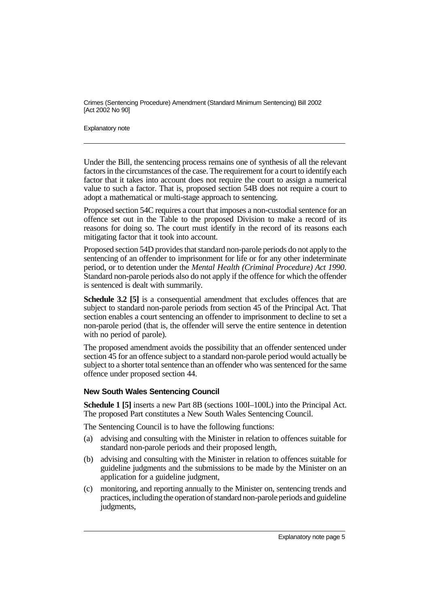Explanatory note

Under the Bill, the sentencing process remains one of synthesis of all the relevant factors in the circumstances of the case. The requirement for a court to identify each factor that it takes into account does not require the court to assign a numerical value to such a factor. That is, proposed section 54B does not require a court to adopt a mathematical or multi-stage approach to sentencing.

Proposed section 54C requires a court that imposes a non-custodial sentence for an offence set out in the Table to the proposed Division to make a record of its reasons for doing so. The court must identify in the record of its reasons each mitigating factor that it took into account.

Proposed section 54D provides that standard non-parole periods do not apply to the sentencing of an offender to imprisonment for life or for any other indeterminate period, or to detention under the *Mental Health (Criminal Procedure) Act 1990*. Standard non-parole periods also do not apply if the offence for which the offender is sentenced is dealt with summarily.

**Schedule 3.2 [5]** is a consequential amendment that excludes offences that are subject to standard non-parole periods from section 45 of the Principal Act. That section enables a court sentencing an offender to imprisonment to decline to set a non-parole period (that is, the offender will serve the entire sentence in detention with no period of parole).

The proposed amendment avoids the possibility that an offender sentenced under section 45 for an offence subject to a standard non-parole period would actually be subject to a shorter total sentence than an offender who was sentenced for the same offence under proposed section 44.

## **New South Wales Sentencing Council**

**Schedule 1 [5]** inserts a new Part 8B (sections 100I–100L) into the Principal Act. The proposed Part constitutes a New South Wales Sentencing Council.

The Sentencing Council is to have the following functions:

- (a) advising and consulting with the Minister in relation to offences suitable for standard non-parole periods and their proposed length,
- (b) advising and consulting with the Minister in relation to offences suitable for guideline judgments and the submissions to be made by the Minister on an application for a guideline judgment,
- (c) monitoring, and reporting annually to the Minister on, sentencing trends and practices, including the operation of standard non-parole periods and guideline judgments,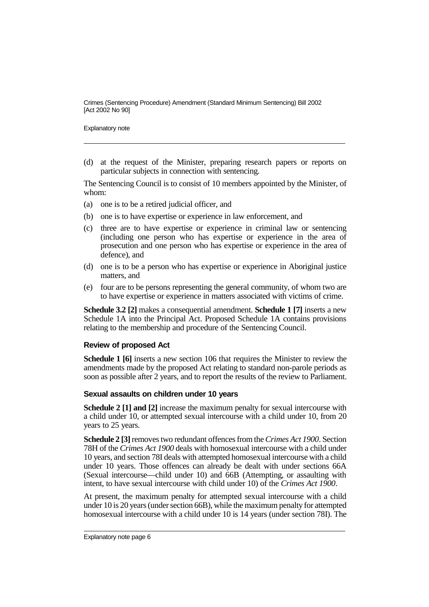Explanatory note

(d) at the request of the Minister, preparing research papers or reports on particular subjects in connection with sentencing.

The Sentencing Council is to consist of 10 members appointed by the Minister, of whom:

- (a) one is to be a retired judicial officer, and
- (b) one is to have expertise or experience in law enforcement, and
- (c) three are to have expertise or experience in criminal law or sentencing (including one person who has expertise or experience in the area of prosecution and one person who has expertise or experience in the area of defence), and
- (d) one is to be a person who has expertise or experience in Aboriginal justice matters, and
- (e) four are to be persons representing the general community, of whom two are to have expertise or experience in matters associated with victims of crime.

**Schedule 3.2 [2]** makes a consequential amendment. **Schedule 1 [7]** inserts a new Schedule 1A into the Principal Act. Proposed Schedule 1A contains provisions relating to the membership and procedure of the Sentencing Council.

#### **Review of proposed Act**

**Schedule 1 [6]** inserts a new section 106 that requires the Minister to review the amendments made by the proposed Act relating to standard non-parole periods as soon as possible after 2 years, and to report the results of the review to Parliament.

#### **Sexual assaults on children under 10 years**

**Schedule 2 [1] and [2]** increase the maximum penalty for sexual intercourse with a child under 10, or attempted sexual intercourse with a child under 10, from 20 years to 25 years.

**Schedule 2 [3]**removes two redundant offences from the*Crimes Act 1900*. Section 78H of the *Crimes Act 1900* deals with homosexual intercourse with a child under 10 years, and section 78I deals with attempted homosexual intercourse with a child under 10 years. Those offences can already be dealt with under sections 66A (Sexual intercourse—child under 10) and 66B (Attempting, or assaulting with intent, to have sexual intercourse with child under 10) of the *Crimes Act 1900*.

At present, the maximum penalty for attempted sexual intercourse with a child under 10 is 20 years (under section 66B), while the maximum penalty for attempted homosexual intercourse with a child under 10 is 14 years (under section 78I). The